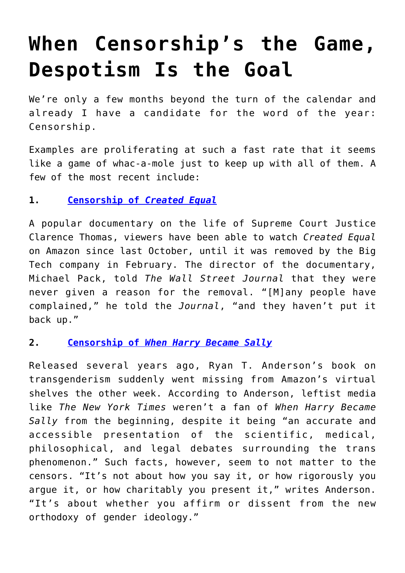## **[When Censorship's the Game,](https://intellectualtakeout.org/2021/03/when-censorships-the-game-despotism-is-the-goal/) [Despotism Is the Goal](https://intellectualtakeout.org/2021/03/when-censorships-the-game-despotism-is-the-goal/)**

We're only a few months beyond the turn of the calendar and already I have a candidate for the word of the year: Censorship.

Examples are proliferating at such a fast rate that it seems like a game of whac-a-mole just to keep up with all of them. A few of the most recent include:

## **1. [Censorship of](https://www.wsj.com/articles/why-did-amazon-cancel-justice-thomas-11614727562)** *[Created Equal](https://www.wsj.com/articles/why-did-amazon-cancel-justice-thomas-11614727562)*

A popular documentary on the life of Supreme Court Justice Clarence Thomas, viewers have been able to watch *Created Equal* on Amazon since last October, until it was removed by the Big Tech company in February. The director of the documentary, Michael Pack, told *The Wall Street Journal* that they were never given a reason for the removal. "[M]any people have complained," he told the *Journal*, "and they haven't put it back up."

## **2. [Censorship of](https://www.firstthings.com/web-exclusives/2021/02/when-amazon-erased-my-book)** *[When Harry Became Sally](https://www.firstthings.com/web-exclusives/2021/02/when-amazon-erased-my-book)*

Released several years ago, Ryan T. Anderson's book on transgenderism suddenly went missing from Amazon's virtual shelves the other week. According to Anderson, leftist media like *The New York Times* weren't a fan of *When Harry Became Sally* from the beginning, despite it being "an accurate and accessible presentation of the scientific, medical, philosophical, and legal debates surrounding the trans phenomenon." Such facts, however, seem to not matter to the censors. "It's not about how you say it, or how rigorously you argue it, or how charitably you present it," writes Anderson. "It's about whether you affirm or dissent from the new orthodoxy of gender ideology."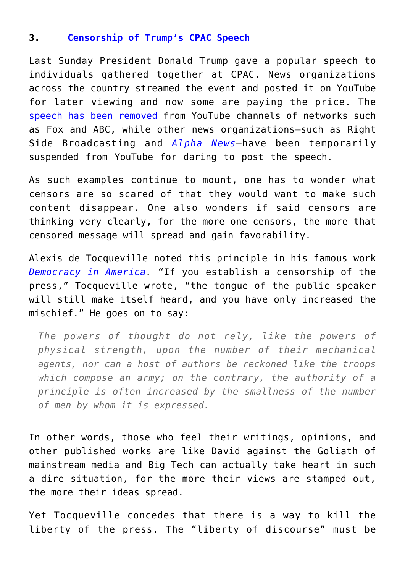## **3. [Censorship of Trump's CPAC Speech](https://alphanewsmn.com/youtube-suspends-alpha-news-account-for-publishing-trump-speech/)**

Last Sunday President Donald Trump gave a popular speech to individuals gathered together at CPAC. News organizations across the country streamed the event and posted it on YouTube for later viewing and now some are paying the price. The [speech has been removed](https://www.thegatewaypundit.com/2021/03/youtube-deletes-copies-president-trumps-cpac-speech-suspends-rsbn-two-weeks/) from YouTube channels of networks such as Fox and ABC, while other news organizations—such as Right Side Broadcasting and *[Alpha News](https://alphanewsmn.com/youtube-suspends-alpha-news-account-for-publishing-trump-speech/)*—have been temporarily suspended from YouTube for daring to post the speech.

As such examples continue to mount, one has to wonder what censors are so scared of that they would want to make such content disappear. One also wonders if said censors are thinking very clearly, for the more one censors, the more that censored message will spread and gain favorability.

Alexis de Tocqueville noted this principle in his famous work *[Democracy in America.](https://www.gutenberg.org/files/815/815-h/815-h.htm#link2HCH0026)* "If you establish a censorship of the press," Tocqueville wrote, "the tongue of the public speaker will still make itself heard, and you have only increased the mischief." He goes on to say:

*The powers of thought do not rely, like the powers of physical strength, upon the number of their mechanical agents, nor can a host of authors be reckoned like the troops which compose an army; on the contrary, the authority of a principle is often increased by the smallness of the number of men by whom it is expressed.*

In other words, those who feel their writings, opinions, and other published works are like David against the Goliath of mainstream media and Big Tech can actually take heart in such a dire situation, for the more their views are stamped out, the more their ideas spread.

Yet Tocqueville concedes that there is a way to kill the liberty of the press. The "liberty of discourse" must be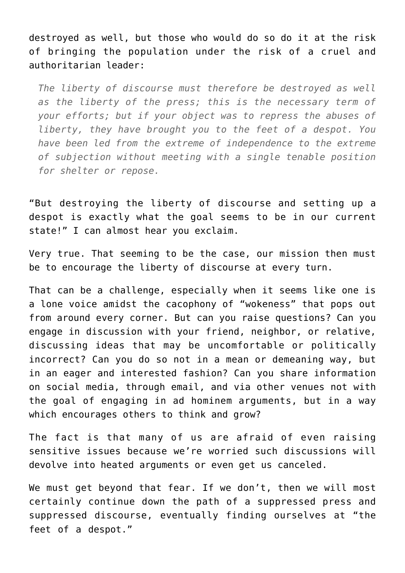destroyed as well, but those who would do so do it at the risk of bringing the population under the risk of a cruel and authoritarian leader:

*The liberty of discourse must therefore be destroyed as well as the liberty of the press; this is the necessary term of your efforts; but if your object was to repress the abuses of liberty, they have brought you to the feet of a despot. You have been led from the extreme of independence to the extreme of subjection without meeting with a single tenable position for shelter or repose.*

"But destroying the liberty of discourse and setting up a despot is exactly what the goal seems to be in our current state!" I can almost hear you exclaim.

Very true. That seeming to be the case, our mission then must be to encourage the liberty of discourse at every turn.

That can be a challenge, especially when it seems like one is a lone voice amidst the cacophony of "wokeness" that pops out from around every corner. But can you raise questions? Can you engage in discussion with your friend, neighbor, or relative, discussing ideas that may be uncomfortable or politically incorrect? Can you do so not in a mean or demeaning way, but in an eager and interested fashion? Can you share information on social media, through email, and via other venues not with the goal of engaging in ad hominem arguments, but in a way which encourages others to think and grow?

The fact is that many of us are afraid of even raising sensitive issues because we're worried such discussions will devolve into heated arguments or even get us canceled.

We must get beyond that fear. If we don't, then we will most certainly continue down the path of a suppressed press and suppressed discourse, eventually finding ourselves at "the feet of a despot."